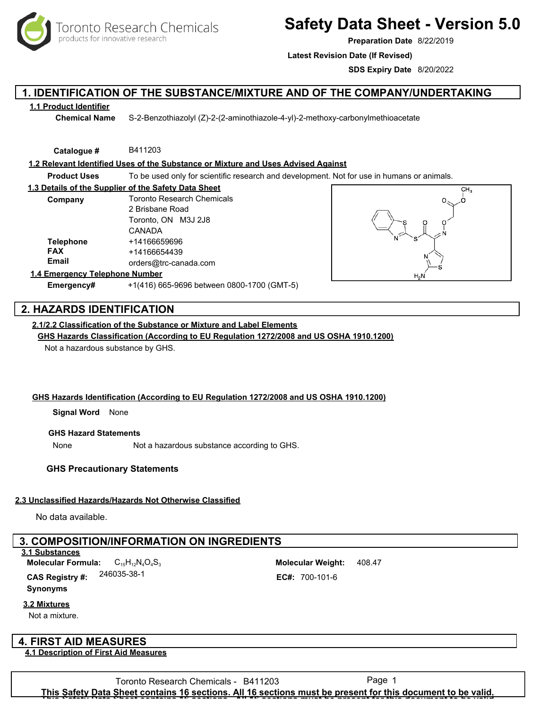oronto Research Chemicals products for innovative research

# **Safety Data Sheet - Version 5.0**

**Preparation Date** 8/22/2019

**Latest Revision Date (If Revised)**

**SDS Expiry Date** 8/20/2022

# **1. IDENTIFICATION OF THE SUBSTANCE/MIXTURE AND OF THE COMPANY/UNDERTAKING**

#### **1.1 Product Identifier**

**Chemical Name** S-2-Benzothiazolyl (Z)-2-(2-aminothiazole-4-yl)-2-methoxy-carbonylmethioacetate

**Catalogue #** B411203

**1.2 Relevant Identified Uses of the Substance or Mixture and Uses Advised Against**

**Product Uses** To be used only for scientific research and development. Not for use in humans or animals.

| 1.3 Details of the Supplier of the Safety Data Sheet |                                   |  |
|------------------------------------------------------|-----------------------------------|--|
| Company                                              | <b>Toronto Research Chemicals</b> |  |
|                                                      | 2 Brisbane Road                   |  |
|                                                      | Toronto, ON M3J 2J8               |  |
|                                                      | CANADA                            |  |
| <b>Telephone</b>                                     | +14166659696                      |  |
| <b>FAX</b>                                           | +14166654439                      |  |
| Email                                                | orders@trc-canada.com             |  |
| Facebook on the Fellow beams. Moracle and            |                                   |  |



#### **1.4 Emergency Telephone Number**

**Emergency#** +1(416) 665-9696 between 0800-1700 (GMT-5)

# **2. HAZARDS IDENTIFICATION**

## **2.1/2.2 Classification of the Substance or Mixture and Label Elements**

**GHS Hazards Classification (According to EU Regulation 1272/2008 and US OSHA 1910.1200)**

Not a hazardous substance by GHS.

### **GHS Hazards Identification (According to EU Regulation 1272/2008 and US OSHA 1910.1200)**

**Signal Word** None

#### **GHS Hazard Statements**

None Not a hazardous substance according to GHS.

### **GHS Precautionary Statements**

### **2.3 Unclassified Hazards/Hazards Not Otherwise Classified**

No data available.

# **3. COMPOSITION/INFORMATION ON INGREDIENTS**

#### **3.1 Substances**

**Synonyms** C15H12N4O4S<sup>3</sup> 408.47 **Molecular Formula: Molecular Weight: CAS Registry #:** 

**3.2 Mixtures**

Not a mixture.

# **4. FIRST AID MEASURES**

#### **4.1 Description of First Aid Measures**

246035-38-1 **EC#:** 700-101-6

Toronto Research Chemicals - B411203 Page 1 **This Safety Data Sheet contains 16 sections. All 16 sections must be present for this document to be valid. This Safety Data Sheet contains 16 sections. All 16 sections must be present for this document to be valid.**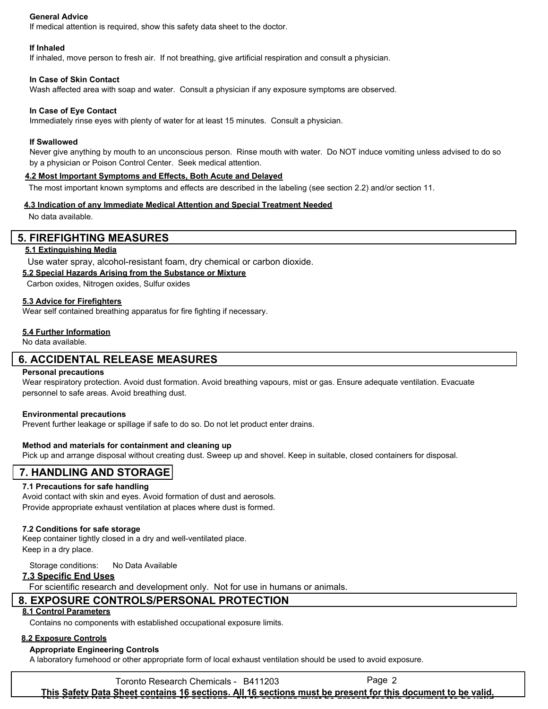#### **General Advice**

If medical attention is required, show this safety data sheet to the doctor.

#### **If Inhaled**

If inhaled, move person to fresh air. If not breathing, give artificial respiration and consult a physician.

#### **In Case of Skin Contact**

Wash affected area with soap and water. Consult a physician if any exposure symptoms are observed.

#### **In Case of Eye Contact**

Immediately rinse eyes with plenty of water for at least 15 minutes. Consult a physician.

#### **If Swallowed**

Never give anything by mouth to an unconscious person. Rinse mouth with water. Do NOT induce vomiting unless advised to do so by a physician or Poison Control Center. Seek medical attention.

#### **4.2 Most Important Symptoms and Effects, Both Acute and Delayed**

The most important known symptoms and effects are described in the labeling (see section 2.2) and/or section 11.

#### **4.3 Indication of any Immediate Medical Attention and Special Treatment Needed**

No data available.

### **5. FIREFIGHTING MEASURES**

#### **5.1 Extinguishing Media**

Use water spray, alcohol-resistant foam, dry chemical or carbon dioxide.

#### **5.2 Special Hazards Arising from the Substance or Mixture**

Carbon oxides, Nitrogen oxides, Sulfur oxides

#### **5.3 Advice for Firefighters**

Wear self contained breathing apparatus for fire fighting if necessary.

#### **5.4 Further Information**

No data available.

### **6. ACCIDENTAL RELEASE MEASURES**

#### **Personal precautions**

Wear respiratory protection. Avoid dust formation. Avoid breathing vapours, mist or gas. Ensure adequate ventilation. Evacuate personnel to safe areas. Avoid breathing dust.

#### **Environmental precautions**

Prevent further leakage or spillage if safe to do so. Do not let product enter drains.

#### **Method and materials for containment and cleaning up**

Pick up and arrange disposal without creating dust. Sweep up and shovel. Keep in suitable, closed containers for disposal.

# **7. HANDLING AND STORAGE**

#### **7.1 Precautions for safe handling**

Avoid contact with skin and eyes. Avoid formation of dust and aerosols. Provide appropriate exhaust ventilation at places where dust is formed.

#### **7.2 Conditions for safe storage**

Keep container tightly closed in a dry and well-ventilated place. Keep in a dry place.

Storage conditions: No Data Available

#### **7.3 Specific End Uses**

For scientific research and development only. Not for use in humans or animals.

# **8. EXPOSURE CONTROLS/PERSONAL PROTECTION**

### **8.1 Control Parameters**

Contains no components with established occupational exposure limits.

### **8.2 Exposure Controls**

#### **Appropriate Engineering Controls**

A laboratory fumehood or other appropriate form of local exhaust ventilation should be used to avoid exposure.

Toronto Research Chemicals - B411203 Page 2 **This Safety Data Sheet contains 16 sections. All 16 sections must be present for this document to be valid. This Safety Data Sheet contains 16 sections. All 16 sections must be present for this document to be valid.**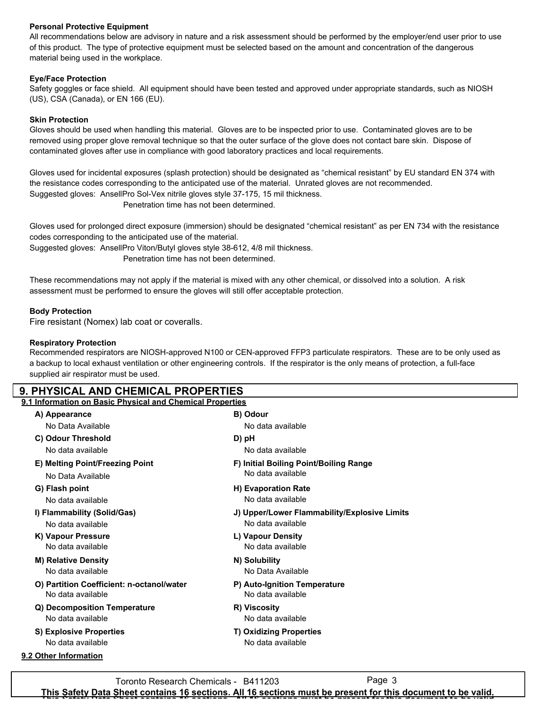### **Personal Protective Equipment**

All recommendations below are advisory in nature and a risk assessment should be performed by the employer/end user prior to use of this product. The type of protective equipment must be selected based on the amount and concentration of the dangerous material being used in the workplace.

### **Eye/Face Protection**

Safety goggles or face shield. All equipment should have been tested and approved under appropriate standards, such as NIOSH (US), CSA (Canada), or EN 166 (EU).

#### **Skin Protection**

Gloves should be used when handling this material. Gloves are to be inspected prior to use. Contaminated gloves are to be removed using proper glove removal technique so that the outer surface of the glove does not contact bare skin. Dispose of contaminated gloves after use in compliance with good laboratory practices and local requirements.

Gloves used for incidental exposures (splash protection) should be designated as "chemical resistant" by EU standard EN 374 with the resistance codes corresponding to the anticipated use of the material. Unrated gloves are not recommended. Suggested gloves: AnsellPro Sol-Vex nitrile gloves style 37-175, 15 mil thickness. Penetration time has not been determined.

Gloves used for prolonged direct exposure (immersion) should be designated "chemical resistant" as per EN 734 with the resistance codes corresponding to the anticipated use of the material.

Suggested gloves: AnsellPro Viton/Butyl gloves style 38-612, 4/8 mil thickness.

Penetration time has not been determined.

These recommendations may not apply if the material is mixed with any other chemical, or dissolved into a solution. A risk assessment must be performed to ensure the gloves will still offer acceptable protection.

#### **Body Protection**

Fire resistant (Nomex) lab coat or coveralls.

#### **Respiratory Protection**

Recommended respirators are NIOSH-approved N100 or CEN-approved FFP3 particulate respirators. These are to be only used as a backup to local exhaust ventilation or other engineering controls. If the respirator is the only means of protection, a full-face supplied air respirator must be used.

### **9. PHYSICAL AND CHEMICAL PROPERTIES**

### **9.1 Information on Basic Physical and Chemical Properties**

| A) Appearance                             | B) Odour                                     |  |  |
|-------------------------------------------|----------------------------------------------|--|--|
| No Data Available                         | No data available                            |  |  |
| C) Odour Threshold                        | D) pH                                        |  |  |
| No data available                         | No data available                            |  |  |
| E) Melting Point/Freezing Point           | F) Initial Boiling Point/Boiling Range       |  |  |
| No Data Available                         | No data available                            |  |  |
| G) Flash point                            | <b>H</b> ) Evaporation Rate                  |  |  |
| No data available                         | No data available                            |  |  |
| I) Flammability (Solid/Gas)               | J) Upper/Lower Flammability/Explosive Limits |  |  |
| No data available                         | No data available                            |  |  |
| K) Vapour Pressure                        | L) Vapour Density                            |  |  |
| No data available                         | No data available                            |  |  |
| <b>M) Relative Density</b>                | N) Solubility                                |  |  |
| No data available                         | No Data Available                            |  |  |
| O) Partition Coefficient: n-octanol/water | P) Auto-Ignition Temperature                 |  |  |
| No data available                         | No data available                            |  |  |
| Q) Decomposition Temperature              | R) Viscosity                                 |  |  |
| No data available                         | No data available                            |  |  |
| S) Explosive Properties                   | <b>T) Oxidizing Properties</b>               |  |  |
| No data available                         | No data available                            |  |  |
| 9.2 Other Information                     |                                              |  |  |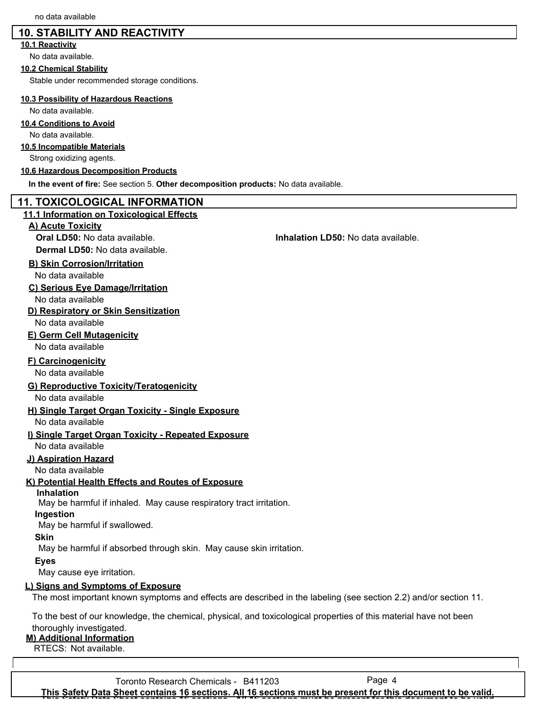# **10. STABILITY AND REACTIVITY**

### **10.1 Reactivity**

No data available.

#### **10.2 Chemical Stability**

Stable under recommended storage conditions.

#### **10.3 Possibility of Hazardous Reactions**

No data available.

### **10.4 Conditions to Avoid**

No data available.

### **10.5 Incompatible Materials**

Strong oxidizing agents.

#### **10.6 Hazardous Decomposition Products**

**In the event of fire:** See section 5. **Other decomposition products:** No data available.

### **11. TOXICOLOGICAL INFORMATION**

#### **11.1 Information on Toxicological Effects**

#### **A) Acute Toxicity**

**Dermal LD50:** No data available.

### **B) Skin Corrosion/Irritation**

No data available

### **C) Serious Eye Damage/Irritation**

No data available

### **D) Respiratory or Skin Sensitization**

No data available

## **E) Germ Cell Mutagenicity**

No data available

### **F) Carcinogenicity**

No data available

## **G) Reproductive Toxicity/Teratogenicity**

No data available

# **H) Single Target Organ Toxicity - Single Exposure**

No data available

# **I) Single Target Organ Toxicity - Repeated Exposure**

No data available

### **J) Aspiration Hazard**

No data available

### **K) Potential Health Effects and Routes of Exposure**

**Inhalation**

May be harmful if inhaled. May cause respiratory tract irritation.

### **Ingestion**

May be harmful if swallowed.

### **Skin**

May be harmful if absorbed through skin. May cause skin irritation.

### **Eyes**

May cause eye irritation.

### **L) Signs and Symptoms of Exposure**

The most important known symptoms and effects are described in the labeling (see section 2.2) and/or section 11.

To the best of our knowledge, the chemical, physical, and toxicological properties of this material have not been thoroughly investigated.

# **M) Additional Information**

RTECS: Not available.

Toronto Research Chemicals - B411203 Page 4 **This Safety Data Sheet contains 16 sections. All 16 sections must be present for this document to be valid. This Safety Data Sheet contains 16 sections. All 16 sections must be present for this document to be valid.**

### **Oral LD50:** No data available. **Inhalation LD50:** No data available.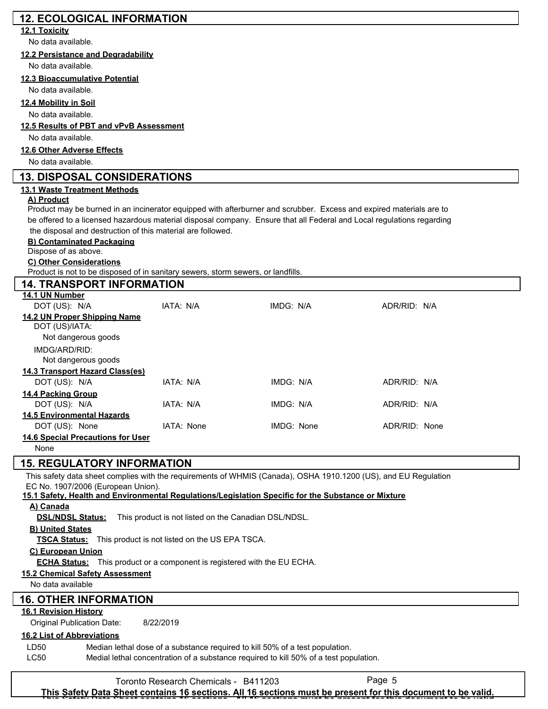# **12. ECOLOGICAL INFORMATION 12.1 Toxicity**

No data available.

### **12.2 Persistance and Degradability**

No data available.

# **12.3 Bioaccumulative Potential**

No data available.

### **12.4 Mobility in Soil**

No data available.

# **12.5 Results of PBT and vPvB Assessment**

No data available.

### **12.6 Other Adverse Effects**

No data available.

# **13. DISPOSAL CONSIDERATIONS**

# **13.1 Waste Treatment Methods**

# **A) Product**

Product may be burned in an incinerator equipped with afterburner and scrubber. Excess and expired materials are to be offered to a licensed hazardous material disposal company. Ensure that all Federal and Local regulations regarding the disposal and destruction of this material are followed.

# **B) Contaminated Packaging**

Dispose of as above.

# **C) Other Considerations**

Product is not to be disposed of in sanitary sewers, storm sewers, or landfills.

| <b>14. TRANSPORT INFORMATION</b>                                      |            |            |               |  |
|-----------------------------------------------------------------------|------------|------------|---------------|--|
| 14.1 UN Number                                                        |            |            |               |  |
| DOT (US): N/A                                                         | IATA: N/A  | IMDG: N/A  | ADR/RID: N/A  |  |
| 14.2 UN Proper Shipping Name<br>DOT (US)/IATA:<br>Not dangerous goods |            |            |               |  |
| IMDG/ARD/RID:<br>Not dangerous goods                                  |            |            |               |  |
| 14.3 Transport Hazard Class(es)                                       |            |            |               |  |
| DOT (US): N/A                                                         | IATA: N/A  | IMDG: N/A  | ADR/RID: N/A  |  |
| 14.4 Packing Group                                                    |            |            |               |  |
| DOT (US): N/A                                                         | IATA: N/A  | IMDG: N/A  | ADR/RID: N/A  |  |
| <b>14.5 Environmental Hazards</b>                                     |            |            |               |  |
| DOT (US): None                                                        | IATA: None | IMDG: None | ADR/RID: None |  |
| <b>14.6 Special Precautions for User</b>                              |            |            |               |  |
| None                                                                  |            |            |               |  |

# **15. REGULATORY INFORMATION**

This safety data sheet complies with the requirements of WHMIS (Canada), OSHA 1910.1200 (US), and EU Regulation EC No. 1907/2006 (European Union).

**15.1 Safety, Health and Environmental Regulations/Legislation Specific for the Substance or Mixture**

### **A) Canada**

**DSL/NDSL Status:** This product is not listed on the Canadian DSL/NDSL.

# **B) United States**

**TSCA Status:** This product is not listed on the US EPA TSCA.

# **C) European Union**

**ECHA Status:** This product or a component is registered with the EU ECHA.

# **15.2 Chemical Safety Assessment**

No data available

# **16. OTHER INFORMATION**

# **16.1 Revision History**

Original Publication Date: 8/22/2019

# **16.2 List of Abbreviations**

| LD50 | Median lethal dose of a substance required to kill 50% of a test population.          |
|------|---------------------------------------------------------------------------------------|
| LC50 | Medial lethal concentration of a substance required to kill 50% of a test population. |

Toronto Research Chemicals - B411203

**This Safety Data Sheet contains 16 sections. All 16 sections must be present for this document to be valid. This Safety Data Sheet contains 16 sections. All 16 sections must be present for this document to be valid.**